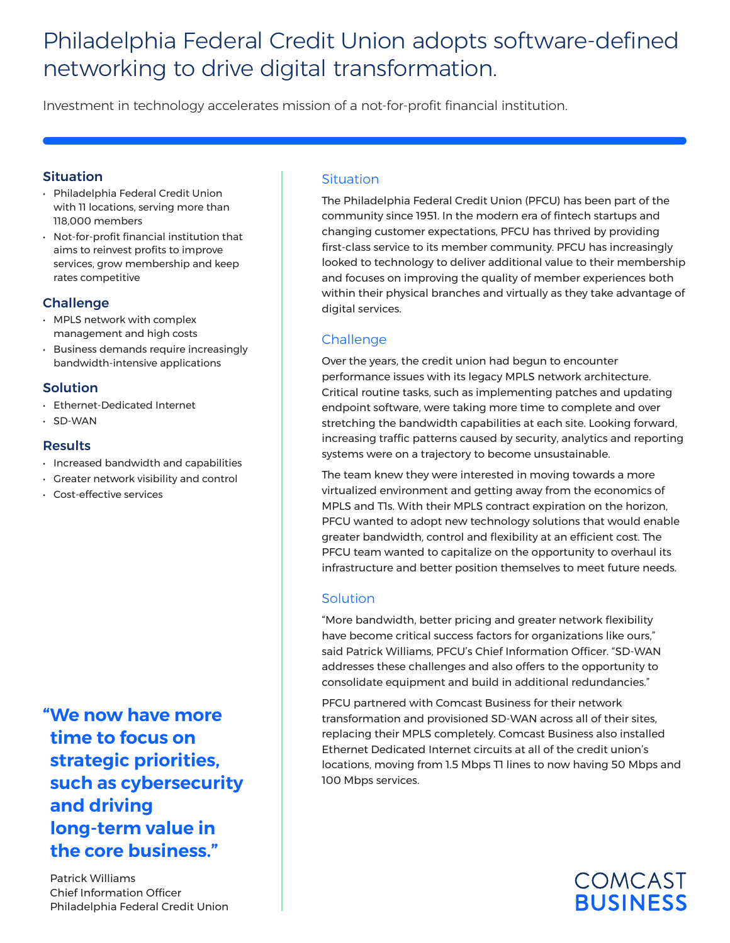# Philadelphia Federal Credit Union adopts software-defined networking to drive digital transformation.

Investment in technology accelerates mission of a not-for-profit financial institution.

## Situation

- Philadelphia Federal Credit Union with 11 locations, serving more than 118,000 members
- Not-for-profit financial institution that aims to reinvest profits to improve services, grow membership and keep rates competitive

# **Challenge**

- MPLS network with complex management and high costs
- Business demands require increasingly bandwidth-intensive applications

### **Solution**

- Ethernet-Dedicated Internet
- SD-WAN

#### Results

- Increased bandwidth and capabilities
- Greater network visibility and control
- Cost-effective services

**"We now have more time to focus on strategic priorities, such as cybersecurity and driving long-term value in the core business."**

Patrick Williams Chief Information Officer Philadelphia Federal Credit Union

#### Situation

The Philadelphia Federal Credit Union (PFCU) has been part of the community since 1951. In the modern era of fintech startups and changing customer expectations, PFCU has thrived by providing first-class service to its member community. PFCU has increasingly looked to technology to deliver additional value to their membership and focuses on improving the quality of member experiences both within their physical branches and virtually as they take advantage of digital services.

# Challenge

Over the years, the credit union had begun to encounter performance issues with its legacy MPLS network architecture. Critical routine tasks, such as implementing patches and updating endpoint software, were taking more time to complete and over stretching the bandwidth capabilities at each site. Looking forward, increasing traffic patterns caused by security, analytics and reporting systems were on a trajectory to become unsustainable.

The team knew they were interested in moving towards a more virtualized environment and getting away from the economics of MPLS and T1s. With their MPLS contract expiration on the horizon, PFCU wanted to adopt new technology solutions that would enable greater bandwidth, control and flexibility at an efficient cost. The PFCU team wanted to capitalize on the opportunity to overhaul its infrastructure and better position themselves to meet future needs.

# **Solution**

"More bandwidth, better pricing and greater network flexibility have become critical success factors for organizations like ours," said Patrick Williams, PFCU's Chief Information Officer. "SD-WAN addresses these challenges and also offers to the opportunity to consolidate equipment and build in additional redundancies."

PFCU partnered with Comcast Business for their network transformation and provisioned SD-WAN across all of their sites, replacing their MPLS completely. Comcast Business also installed Ethernet Dedicated Internet circuits at all of the credit union's locations, moving from 1.5 Mbps T1 lines to now having 50 Mbps and 100 Mbps services.